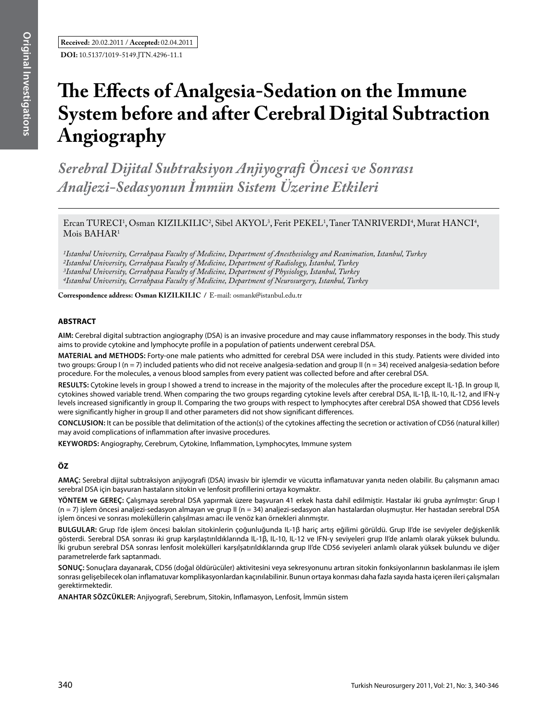# **The Effects of Analgesia-Sedation on the Immune System before and after Cerebral Digital Subtraction Angiography**

*Serebral Dijital Subtraksiyon Anjiyografi Öncesi ve Sonrası Analjezi-Sedasyonun İmmün Sistem Üzerine Etkileri*

Ercan TURECI<sup>1</sup>, Osman KIZILKILIC<sup>2</sup>, Sibel AKYOL<sup>3</sup>, Ferit PEKEL<sup>1</sup>, Taner TANRIVERDI<sup>4</sup>, Murat HANCI<sup>4</sup>,  $M$ ois BAHAR<sup>1</sup>

*1Istanbul University, Cerrahpasa Faculty of Medicine, Department of Anesthesiology and Reanimation, Istanbul, Turkey 2Istanbul University, Cerrahpasa Faculty of Medicine, Department of Radiology, Istanbul, Turkey 3Istanbul University, Cerrahpasa Faculty of Medicine, Department of Physiology, Istanbul, Turkey 4Istanbul University, Cerrahpasa Faculty of Medicine, Department of Neurosurgery, Istanbul, Turkey*

**Correspondence address: Osman KızIlkIlIC /** E-mail: osmank@istanbul.edu.tr

# **ABSTRACT**

**AIm:** Cerebral digital subtraction angiography (DSA) is an invasive procedure and may cause inflammatory responses in the body. This study aims to provide cytokine and lymphocyte profile in a population of patients underwent cerebral DSA.

**MaterIal and Methods:** Forty-one male patients who admitted for cerebral DSA were included in this study. Patients were divided into two groups: Group  $I(n=7)$  included patients who did not receive analgesia-sedation and group II (n = 34) received analgesia-sedation before procedure. For the molecules, a venous blood samples from every patient was collected before and after cerebral DSA.

**Results:** Cytokine levels in group I showed a trend to increase in the majority of the molecules after the procedure except IL-1β. In group II, cytokines showed variable trend. When comparing the two groups regarding cytokine levels after cerebral DSA, IL-1β, IL-10, IL-12, and IFN-γ levels increased significantly in group II. Comparing the two groups with respect to lymphocytes after cerebral DSA showed that CD56 levels were significantly higher in group II and other parameters did not show significant differences.

**ConclusIon:** It can be possible that delimitation of the action(s) of the cytokines affecting the secretion or activation of CD56 (natural killer) may avoid complications of inflammation after invasive procedures.

**Keywords:** Angiography, Cerebrum, Cytokine, Inflammation, Lymphocytes, Immune system

# **ÖZ**

**AMAÇ:** Serebral dijital subtraksiyon anjiyografi (DSA) invasiv bir işlemdir ve vücutta inflamatuvar yanıta neden olabilir. Bu çalışmanın amacı serebral DSA için başvuran hastaların sitokin ve lenfosit profillerini ortaya koymaktır.

**YÖNTEM ve GEREÇ:** Çalışmaya serebral DSA yapırmak üzere başvuran 41 erkek hasta dahil edilmiştir. Hastalar iki gruba ayrılmıştır: Grup I (n = 7) işlem öncesi analjezi-sedasyon almayan ve grup II (n = 34) analjezi-sedasyon alan hastalardan oluşmuştur. Her hastadan serebral DSA işlem öncesi ve sonrası moleküllerin çalışılması amacı ile venöz kan örnekleri alınmıştır.

**BULGULAR:** Grup I'de işlem öncesi bakılan sitokinlerin çoğunluğunda IL-1β hariç artış eğilimi görüldü. Grup II'de ise seviyeler değişkenlik gösterdi. Serebral DSA sonrası iki grup karşılaştırıldıklarında IL-1β, IL-10, IL-12 ve IFN-γ seviyeleri grup II'de anlamlı olarak yüksek bulundu. İki grubun serebral DSA sonrası lenfosit molekülleri karşılşatırıldıklarında grup II'de CD56 seviyeleri anlamlı olarak yüksek bulundu ve diğer parametrelerde fark saptanmadı.

**SONUÇ:** Sonuçlara dayanarak, CD56 (doğal öldürücüler) aktivitesini veya sekresyonunu artıran sitokin fonksiyonlarının baskılanması ile işlem sonrası gelişebilecek olan inflamatuvar komplikasyonlardan kaçınılabilinir. Bunun ortaya konması daha fazla sayıda hasta içeren ileri çalışmaları gerektirmektedir.

**ANAHTAR SÖZCÜKLER:** Anjiyografi, Serebrum, Sitokin, Inflamasyon, Lenfosit, İmmün sistem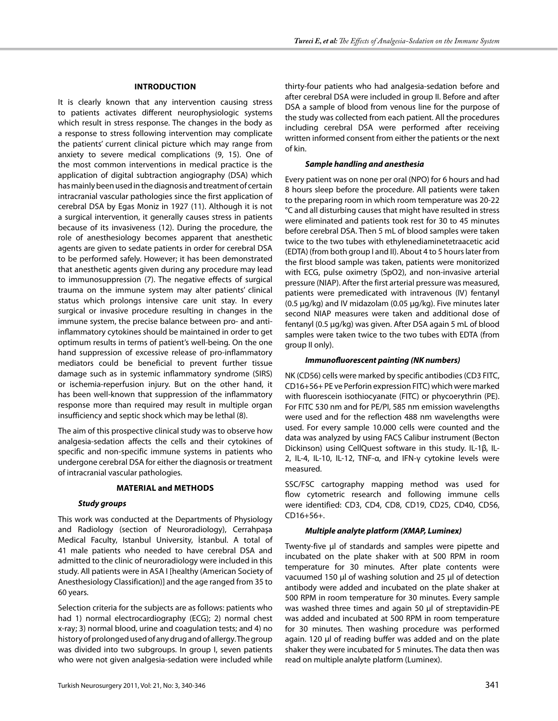## **IntroductIon**

It is clearly known that any intervention causing stress to patients activates different neurophysiologic systems which result in stress response. The changes in the body as a response to stress following intervention may complicate the patients' current clinical picture which may range from anxiety to severe medical complications (9, 15). One of the most common interventions in medical practice is the application of digital subtraction angiography (DSA) which has mainly been used in the diagnosis and treatment of certain intracranial vascular pathologies since the first application of cerebral DSA by Egas Moniz in 1927 (11). Although it is not a surgical intervention, it generally causes stress in patients because of its invasiveness (12). During the procedure, the role of anesthesiology becomes apparent that anesthetic agents are given to sedate patients in order for cerebral DSA to be performed safely. However; it has been demonstrated that anesthetic agents given during any procedure may lead to immunosuppression (7). The negative effects of surgical trauma on the immune system may alter patients' clinical status which prolongs intensive care unit stay. In every surgical or invasive procedure resulting in changes in the immune system, the precise balance between pro- and antiinflammatory cytokines should be maintained in order to get optimum results in terms of patient's well-being. On the one hand suppression of excessive release of pro-inflammatory mediators could be beneficial to prevent further tissue damage such as in systemic inflammatory syndrome (SIRS) or ischemia-reperfusion injury. But on the other hand, it has been well-known that suppression of the inflammatory response more than required may result in multiple organ insufficiency and septic shock which may be lethal (8).

The aim of this prospective clinical study was to observe how analgesia-sedation affects the cells and their cytokines of specific and non-specific immune systems in patients who undergone cerebral DSA for either the diagnosis or treatment of intracranial vascular pathologies.

# **MaterIal and Methods**

#### *Study groups*

This work was conducted at the Departments of Physiology and Radiology (section of Neuroradiology), Cerrahpaşa Medical Faculty, Istanbul University, İstanbul. A total of 41 male patients who needed to have cerebral DSA and admitted to the clinic of neuroradiology were included in this study. All patients were in ASA I [healthy (American Society of Anesthesiology Classification)] and the age ranged from 35 to 60 years.

Selection criteria for the subjects are as follows: patients who had 1) normal electrocardiography (ECG); 2) normal chest x-ray; 3) normal blood, urine and coagulation tests; and 4) no history of prolonged used of any drug and of allergy. The group was divided into two subgroups. In group I, seven patients who were not given analgesia-sedation were included while thirty-four patients who had analgesia-sedation before and after cerebral DSA were included in group II. Before and after DSA a sample of blood from venous line for the purpose of the study was collected from each patient. All the procedures including cerebral DSA were performed after receiving written informed consent from either the patients or the next of kin.

#### *Sample handling and anesthesia*

Every patient was on none per oral (NPO) for 6 hours and had 8 hours sleep before the procedure. All patients were taken to the preparing room in which room temperature was 20-22 °C and all disturbing causes that might have resulted in stress were eliminated and patients took rest for 30 to 45 minutes before cerebral DSA. Then 5 mL of blood samples were taken twice to the two tubes with ethylenediaminetetraacetic acid (EDTA) (from both group I and II). About 4 to 5 hours later from the first blood sample was taken, patients were monitorized with ECG, pulse oximetry (SpO2), and non-invasive arterial pressure (NIAP). After the first arterial pressure was measured, patients were premedicated with intravenous (IV) fentanyl (0.5 µg/kg) and IV midazolam (0.05 µg/kg). Five minutes later second NIAP measures were taken and additional dose of fentanyl (0.5 µg/kg) was given. After DSA again 5 mL of blood samples were taken twice to the two tubes with EDTA (from group II only).

## *Immunofluorescent painting (NK numbers)*

NK (CD56) cells were marked by specific antibodies (CD3 FITC, CD16+56+ PE ve Perforin expression FITC) which were marked with fluorescein isothiocyanate (FITC) or phycoerythrin (PE). For FITC 530 nm and for PE/PI, 585 nm emission wavelengths were used and for the reflection 488 nm wavelengths were used. For every sample 10.000 cells were counted and the data was analyzed by using FACS Calibur instrument (Becton Dickinson) using CellQuest software in this study. IL-1β, IL-2, IL-4, IL-10, IL-12, TNF-α, and IFN-γ cytokine levels were measured.

SSC/FSC cartography mapping method was used for flow cytometric research and following immune cells were identified: CD3, CD4, CD8, CD19, CD25, CD40, CD56, CD16+56+.

# *Multiple analyte platform (XMAP, Luminex)*

Twenty-five µl of standards and samples were pipette and incubated on the plate shaker with at 500 RPM in room temperature for 30 minutes. After plate contents were vacuumed 150 µl of washing solution and 25 µl of detection antibody were added and incubated on the plate shaker at 500 RPM in room temperature for 30 minutes. Every sample was washed three times and again 50 µl of streptavidin-PE was added and incubated at 500 RPM in room temperature for 30 minutes. Then washing procedure was performed again. 120 µl of reading buffer was added and on the plate shaker they were incubated for 5 minutes. The data then was read on multiple analyte platform (Luminex).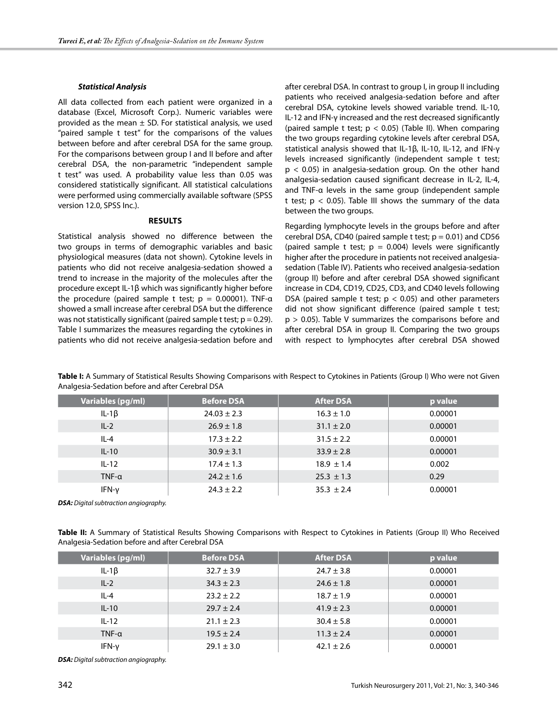#### *Statistical Analysis*

All data collected from each patient were organized in a database (Excel, Microsoft Corp.). Numeric variables were provided as the mean  $\pm$  SD. For statistical analysis, we used "paired sample t test" for the comparisons of the values between before and after cerebral DSA for the same group. For the comparisons between group I and II before and after cerebral DSA, the non-parametric "independent sample t test" was used. A probability value less than 0.05 was considered statistically significant. All statistical calculations were performed using commercially available software (SPSS version 12.0, SPSS Inc.).

#### **Results**

Statistical analysis showed no difference between the two groups in terms of demographic variables and basic physiological measures (data not shown). Cytokine levels in patients who did not receive analgesia-sedation showed a trend to increase in the majority of the molecules after the procedure except IL-1β which was significantly higher before the procedure (paired sample t test;  $p = 0.00001$ ). TNF- $\alpha$ showed a small increase after cerebral DSA but the difference was not statistically significant (paired sample t test;  $p = 0.29$ ). Table I summarizes the measures regarding the cytokines in patients who did not receive analgesia-sedation before and after cerebral DSA. In contrast to group I, in group II including patients who received analgesia-sedation before and after cerebral DSA, cytokine levels showed variable trend. IL-10, IL-12 and IFN-γ increased and the rest decreased significantly (paired sample t test;  $p < 0.05$ ) (Table II). When comparing the two groups regarding cytokine levels after cerebral DSA, statistical analysis showed that IL-1β, IL-10, IL-12, and IFN-γ levels increased significantly (independent sample t test;  $p < 0.05$ ) in analgesia-sedation group. On the other hand analgesia-sedation caused significant decrease in IL-2, IL-4, and TNF-α levels in the same group (independent sample t test;  $p < 0.05$ ). Table III shows the summary of the data between the two groups.

Regarding lymphocyte levels in the groups before and after cerebral DSA, CD40 (paired sample t test;  $p = 0.01$ ) and CD56 (paired sample t test;  $p = 0.004$ ) levels were significantly higher after the procedure in patients not received analgesiasedation (Table IV). Patients who received analgesia-sedation (group II) before and after cerebral DSA showed significant increase in CD4, CD19, CD25, CD3, and CD40 levels following DSA (paired sample t test;  $p < 0.05$ ) and other parameters did not show significant difference (paired sample t test;  $p > 0.05$ ). Table V summarizes the comparisons before and after cerebral DSA in group II. Comparing the two groups with respect to lymphocytes after cerebral DSA showed

| Variables (pg/ml) | <b>Before DSA</b> | <b>After DSA</b> | p value |
|-------------------|-------------------|------------------|---------|
| IL-1 $\beta$      | $24.03 \pm 2.3$   | $16.3 \pm 1.0$   | 0.00001 |
| $IL-2$            | $26.9 \pm 1.8$    | $31.1 \pm 2.0$   | 0.00001 |
| $IL-4$            | $17.3 \pm 2.2$    | $31.5 \pm 2.2$   | 0.00001 |
| $IL-10$           | $30.9 \pm 3.1$    | $33.9 \pm 2.8$   | 0.00001 |
| $IL-12$           | $17.4 \pm 1.3$    | $18.9 \pm 1.4$   | 0.002   |
| $TNF-\alpha$      | $24.2 \pm 1.6$    | $25.3 \pm 1.3$   | 0.29    |
| IFN-y             | $24.3 \pm 2.2$    | $35.3 \pm 2.4$   | 0.00001 |

**Table I:** A Summary of Statistical Results Showing Comparisons with Respect to Cytokines in Patients (Group I) Who were not Given Analgesia-Sedation before and after Cerebral DSA

*DSA: Digital subtraction angiography.*

**Table II:** A Summary of Statistical Results Showing Comparisons with Respect to Cytokines in Patients (Group II) Who Received Analgesia-Sedation before and after Cerebral DSA

| Variables (pg/ml) | <b>Before DSA</b> | <b>After DSA</b> | p value |
|-------------------|-------------------|------------------|---------|
| IL-1 $\beta$      | $32.7 \pm 3.9$    | $24.7 \pm 3.8$   | 0.00001 |
| $IL-2$            | $34.3 \pm 2.3$    | $24.6 \pm 1.8$   | 0.00001 |
| $IL-4$            | $23.2 \pm 2.2$    | $18.7 \pm 1.9$   | 0.00001 |
| $IL-10$           | $29.7 \pm 2.4$    | $41.9 \pm 2.3$   | 0.00001 |
| $IL-12$           | $21.1 \pm 2.3$    | $30.4 \pm 5.8$   | 0.00001 |
| $TNF-\alpha$      | $19.5 \pm 2.4$    | $11.3 \pm 2.4$   | 0.00001 |
| $IFN-\gamma$      | $29.1 \pm 3.0$    | $42.1 \pm 2.6$   | 0.00001 |

*DSA: Digital subtraction angiography.*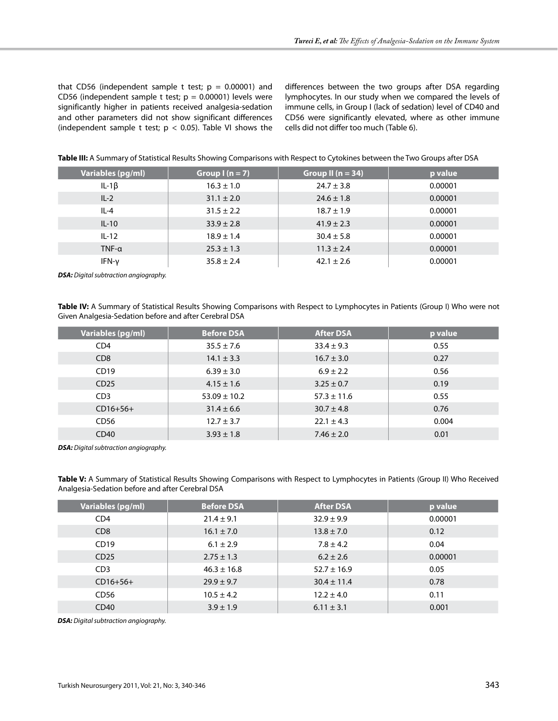that CD56 (independent sample t test;  $p = 0.00001$ ) and CD56 (independent sample t test;  $p = 0.00001$ ) levels were significantly higher in patients received analgesia-sedation and other parameters did not show significant differences (independent sample t test;  $p < 0.05$ ). Table VI shows the differences between the two groups after DSA regarding lymphocytes. In our study when we compared the levels of immune cells, in Group I (lack of sedation) level of CD40 and CD56 were significantly elevated, where as other immune cells did not differ too much (Table 6).

|  |  | Table III: A Summary of Statistical Results Showing Comparisons with Respect to Cytokines between the Two Groups after DSA |
|--|--|----------------------------------------------------------------------------------------------------------------------------|
|--|--|----------------------------------------------------------------------------------------------------------------------------|

| Variables (pg/ml) | Group $l(n = 7)$ | Group II $(n = 34)$ | p value |
|-------------------|------------------|---------------------|---------|
| IL-1 $\beta$      | $16.3 \pm 1.0$   | $24.7 \pm 3.8$      | 0.00001 |
| $IL-2$            | $31.1 \pm 2.0$   | $24.6 \pm 1.8$      | 0.00001 |
| $IL-4$            | $31.5 \pm 2.2$   | $18.7 \pm 1.9$      | 0.00001 |
| $IL-10$           | $33.9 \pm 2.8$   | $41.9 \pm 2.3$      | 0.00001 |
| $IL-12$           | $18.9 \pm 1.4$   | $30.4 \pm 5.8$      | 0.00001 |
| $TNF-\alpha$      | $25.3 \pm 1.3$   | $11.3 \pm 2.4$      | 0.00001 |
| IFN-v             | $35.8 \pm 2.4$   | $42.1 \pm 2.6$      | 0.00001 |

*DSA: Digital subtraction angiography.*

**Table IV:** A Summary of Statistical Results Showing Comparisons with Respect to Lymphocytes in Patients (Group I) Who were not Given Analgesia-Sedation before and after Cerebral DSA

| Variables (pg/ml) | <b>Before DSA</b> | <b>After DSA</b> | p value |
|-------------------|-------------------|------------------|---------|
| CD <sub>4</sub>   | $35.5 \pm 7.6$    | $33.4 \pm 9.3$   | 0.55    |
| CD <sub>8</sub>   | $14.1 \pm 3.3$    | $16.7 \pm 3.0$   | 0.27    |
| CD19              | $6.39 \pm 3.0$    | $6.9 \pm 2.2$    | 0.56    |
| CD25              | $4.15 \pm 1.6$    | $3.25 \pm 0.7$   | 0.19    |
| CD <sub>3</sub>   | $53.09 \pm 10.2$  | $57.3 \pm 11.6$  | 0.55    |
| $CD16+56+$        | $31.4 \pm 6.6$    | $30.7 \pm 4.8$   | 0.76    |
| CD56              | $12.7 \pm 3.7$    | $22.1 \pm 4.3$   | 0.004   |
| CD40              | $3.93 \pm 1.8$    | $7.46 \pm 2.0$   | 0.01    |

*DSA: Digital subtraction angiography.*

**Table V:** A Summary of Statistical Results Showing Comparisons with Respect to Lymphocytes in Patients (Group II) Who Received Analgesia-Sedation before and after Cerebral DSA

| Variables (pg/ml)           | <b>Before DSA</b> | <b>After DSA</b> | p value |
|-----------------------------|-------------------|------------------|---------|
| CD <sub>4</sub>             | $21.4 \pm 9.1$    | $32.9 \pm 9.9$   | 0.00001 |
| C <sub>D</sub> <sub>8</sub> | $16.1 \pm 7.0$    | $13.8 \pm 7.0$   | 0.12    |
| CD19                        | $6.1 \pm 2.9$     | $7.8 \pm 4.2$    | 0.04    |
| CD25                        | $2.75 \pm 1.3$    | $6.2 \pm 2.6$    | 0.00001 |
| CD <sub>3</sub>             | $46.3 \pm 16.8$   | $52.7 \pm 16.9$  | 0.05    |
| $CD16+56+$                  | $29.9 \pm 9.7$    | $30.4 \pm 11.4$  | 0.78    |
| CD56                        | $10.5 \pm 4.2$    | $12.2 \pm 4.0$   | 0.11    |
| CD40                        | $3.9 \pm 1.9$     | $6.11 \pm 3.1$   | 0.001   |

*DSA: Digital subtraction angiography.*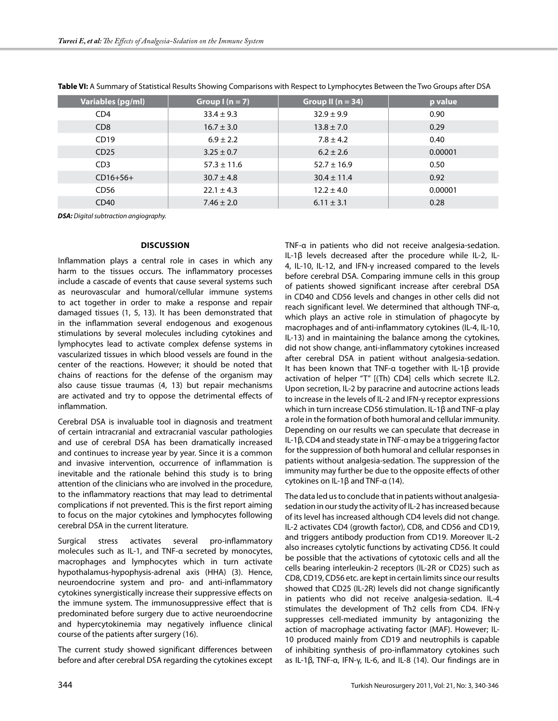| <b>Variables (pg/ml)</b> | Group $I(n = 7)$ | Group II ( $n = 34$ ) | p value |
|--------------------------|------------------|-----------------------|---------|
| CD <sub>4</sub>          | $33.4 \pm 9.3$   | $32.9 \pm 9.9$        | 0.90    |
| C <sub>D</sub> 8         | $16.7 \pm 3.0$   | $13.8 \pm 7.0$        | 0.29    |
| CD19                     | $6.9 \pm 2.2$    | $7.8 \pm 4.2$         | 0.40    |
| CD25                     | $3.25 \pm 0.7$   | $6.2 \pm 2.6$         | 0.00001 |
| CD <sub>3</sub>          | $57.3 \pm 11.6$  | $52.7 \pm 16.9$       | 0.50    |
| $CD16+56+$               | $30.7 \pm 4.8$   | $30.4 \pm 11.4$       | 0.92    |
| CD56                     | $22.1 \pm 4.3$   | $12.2 \pm 4.0$        | 0.00001 |
| CD40                     | $7.46 \pm 2.0$   | $6.11 \pm 3.1$        | 0.28    |

**Table VI:** A Summary of Statistical Results Showing Comparisons with Respect to Lymphocytes Between the Two Groups after DSA

*DSA: Digital subtraction angiography.*

#### **DIscussIon**

Inflammation plays a central role in cases in which any harm to the tissues occurs. The inflammatory processes include a cascade of events that cause several systems such as neurovascular and humoral/cellular immune systems to act together in order to make a response and repair damaged tissues (1, 5, 13). It has been demonstrated that in the inflammation several endogenous and exogenous stimulations by several molecules including cytokines and lymphocytes lead to activate complex defense systems in vascularized tissues in which blood vessels are found in the center of the reactions. However; it should be noted that chains of reactions for the defense of the organism may also cause tissue traumas (4, 13) but repair mechanisms are activated and try to oppose the detrimental effects of inflammation.

Cerebral DSA is invaluable tool in diagnosis and treatment of certain intracranial and extracranial vascular pathologies and use of cerebral DSA has been dramatically increased and continues to increase year by year. Since it is a common and invasive intervention, occurrence of inflammation is inevitable and the rationale behind this study is to bring attention of the clinicians who are involved in the procedure, to the inflammatory reactions that may lead to detrimental complications if not prevented. This is the first report aiming to focus on the major cytokines and lymphocytes following cerebral DSA in the current literature.

Surgical stress activates several pro-inflammatory molecules such as IL-1, and TNF-α secreted by monocytes, macrophages and lymphocytes which in turn activate hypothalamus-hypophysis-adrenal axis (HHA) (3). Hence, neuroendocrine system and pro- and anti-inflammatory cytokines synergistically increase their suppressive effects on the immune system. The immunosuppressive effect that is predominated before surgery due to active neuroendocrine and hypercytokinemia may negatively influence clinical course of the patients after surgery (16).

The current study showed significant differences between before and after cerebral DSA regarding the cytokines except TNF-α in patients who did not receive analgesia-sedation. IL-1β levels decreased after the procedure while IL-2, IL-4, IL-10, IL-12, and IFN-γ increased compared to the levels before cerebral DSA. Comparing immune cells in this group of patients showed significant increase after cerebral DSA in CD40 and CD56 levels and changes in other cells did not reach significant level. We determined that although TNF-α, which plays an active role in stimulation of phagocyte by macrophages and of anti-inflammatory cytokines (IL-4, IL-10, IL-13) and in maintaining the balance among the cytokines, did not show change, anti-inflammatory cytokines increased after cerebral DSA in patient without analgesia-sedation. It has been known that TNF-α together with IL-1β provide activation of helper "T" [(Th) CD4] cells which secrete IL2. Upon secretion, IL-2 by paracrine and autocrine actions leads to increase in the levels of IL-2 and IFN-γ receptor expressions which in turn increase CD56 stimulation. IL-1β and TNF-α play a role in the formation of both humoral and cellular immunity. Depending on our results we can speculate that decrease in IL-1β, CD4 and steady state in TNF-α may be a triggering factor for the suppression of both humoral and cellular responses in patients without analgesia-sedation. The suppression of the immunity may further be due to the opposite effects of other cytokines on IL-1β and TNF-α (14).

The data led us to conclude that in patients without analgesiasedation in our study the activity of IL-2 has increased because of its level has increased although CD4 levels did not change. IL-2 activates CD4 (growth factor), CD8, and CD56 and CD19, and triggers antibody production from CD19. Moreover IL-2 also increases cytolytic functions by activating CD56. It could be possible that the activations of cytotoxic cells and all the cells bearing interleukin-2 receptors (IL-2R or CD25) such as CD8, CD19, CD56 etc. are kept in certain limits since our results showed that CD25 (IL-2R) levels did not change significantly in patients who did not receive analgesia-sedation. IL-4 stimulates the development of Th2 cells from CD4. IFN-γ suppresses cell-mediated immunity by antagonizing the action of macrophage activating factor (MAF). However; IL-10 produced mainly from CD19 and neutrophils is capable of inhibiting synthesis of pro-inflammatory cytokines such as IL-1β, TNF-α, IFN-γ, IL-6, and IL-8 (14). Our findings are in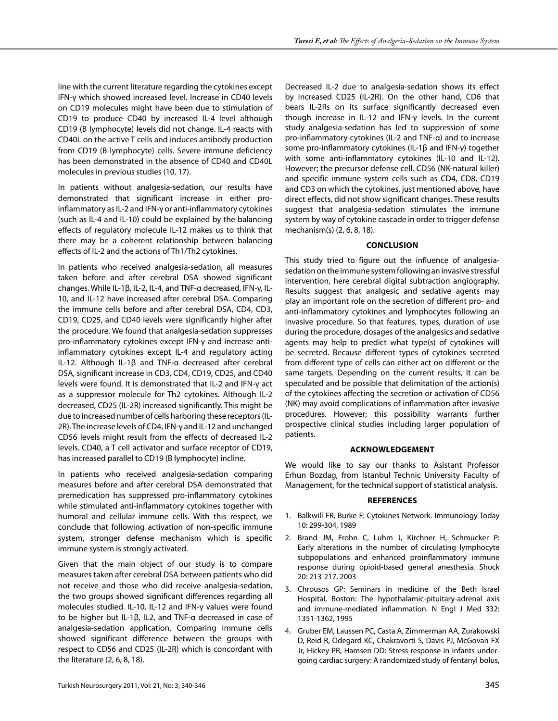line with the current literature regarding the cytokines except IFN-γ which showed increased level. Increase in CD40 levels on CD19 molecules might have been due to stimulation of CD19 to produce CD40 by increased IL-4 level although CD19 (B lymphocyte) levels did not change. IL-4 reacts with CD40L on the active T cells and induces antibody production from CD19 (B lymphocyte) cells. Severe immune deficiency has been demonstrated in the absence of CD40 and CD40L molecules in previous studies (10, 17).

In patients without analgesia-sedation, our results have demonstrated that significant increase in either proinflammatory as IL-2 and IFN-γ or anti-inflammatory cytokines (such as IL-4 and IL-10) could be explained by the balancing effects of regulatory molecule IL-12 makes us to think that there may be a coherent relationship between balancing effects of IL-2 and the actions of Th1/Th2 cytokines.

In patients who received analgesia-sedation, all measures taken before and after cerebral DSA showed significant changes. While IL-1β, IL-2, IL-4, and TNF-α decreased, IFN-γ, IL-10, and IL-12 have increased after cerebral DSA. Comparing the immune cells before and after cerebral DSA, CD4, CD3, CD19, CD25, and CD40 levels were significantly higher after the procedure. We found that analgesia-sedation suppresses pro-inflammatory cytokines except IFN-γ and increase antiinflammatory cytokines except IL-4 and regulatory acting IL-12. Although IL-1β and TNF-α decreased after cerebral DSA, significant increase in CD3, CD4, CD19, CD25, and CD40 levels were found. It is demonstrated that IL-2 and IFN-γ act as a suppressor molecule for Th2 cytokines. Although IL-2 decreased, CD25 (IL-2R) increased significantly. This might be due to increased number of cells harboring these receptors (IL-2R). The increase levels of CD4, IFN-γ and IL-12 and unchanged CD56 levels might result from the effects of decreased IL-2 levels. CD40, a T cell activator and surface receptor of CD19, has increased parallel to CD19 (B lymphocyte) incline.

In patients who received analgesia-sedation comparing measures before and after cerebral DSA demonstrated that premedication has suppressed pro-inflammatory cytokines while stimulated anti-inflammatory cytokines together with humoral and cellular immune cells. With this respect, we conclude that following activation of non-specific immune system, stronger defense mechanism which is specific immune system is strongly activated.

Given that the main object of our study is to compare measures taken after cerebral DSA between patients who did not receive and those who did receive analgesia-sedation, the two groups showed significant differences regarding all molecules studied. IL-10, IL-12 and IFN-γ values were found to be higher but IL-1β, IL2, and TNF-α decreased in case of analgesia-sedation application. Comparing immune cells showed significant difference between the groups with respect to CD56 and CD25 (IL-2R) which is concordant with the literature (2, 6, 8, 18).

Decreased IL-2 due to analgesia-sedation shows its effect by increased CD25 (IL-2R). On the other hand, CD6 that bears IL-2Rs on its surface significantly decreased even though increase in IL-12 and IFN-γ levels. In the current study analgesia-sedation has led to suppression of some pro-inflammatory cytokines (IL-2 and TNF-α) and to increase some pro-inflammatory cytokines (IL-1β and IFN-γ) together with some anti-inflammatory cytokines (IL-10 and IL-12). However; the precursor defense cell, CD56 (NK-natural killer) and specific immune system cells such as CD4, CD8, CD19 and CD3 on which the cytokines, just mentioned above, have direct effects, did not show significant changes. These results suggest that analgesia-sedation stimulates the immune system by way of cytokine cascade in order to trigger defense mechanism(s) (2, 6, 8, 18).

# **ConclusIon**

This study tried to figure out the influence of analgesiasedation on the immune system following an invasive stressful intervention, here cerebral digital subtraction angiography. Results suggest that analgesic and sedative agents may play an important role on the secretion of different pro- and anti-inflammatory cytokines and lymphocytes following an invasive procedure. So that features, types, duration of use during the procedure, dosages of the analgesics and sedative agents may help to predict what type(s) of cytokines will be secreted. Because different types of cytokines secreted from different type of cells can either act on different or the same targets. Depending on the current results, it can be speculated and be possible that delimitation of the action(s) of the cytokines affecting the secretion or activation of CD56 (NK) may avoid complications of inflammation after invasive procedures. However; this possibility warrants further prospective clinical studies including larger population of patients.

# **acknowledgement**

We would like to say our thanks to Asistant Professor Erhun Bozdag, from Istanbul Technic University Faculty of Management, for the technical support of statistical analysis.

#### **References**

- 1. Balkwill FR, Burke F: Cytokines Network. Immunology Today 10: 299-304, 1989
- 2. Brand JM, Frohn C, Luhm J, Kirchner H, Schmucker P: Early alterations in the number of circulating lymphocyte subpopulations and enhanced proinflammatory immune response during opioid-based general anesthesia. Shock 20: 213-217, 2003
- 3. Chrousos GP: Seminars in medicine of the Beth Israel Hospital, Boston: The hypothalamic-pituitary-adrenal axis and immune-mediated inflammation. N Engl J Med 332: 1351-1362, 1995
- 4. Gruber EM, Laussen PC, Casta A, Zimmerman AA, Zurakowski D, Reid R, Odegard KC, Chakravorti S, Davis PJ, McGovan FX Jr, Hickey PR, Hamsen DD: Stress response in infants undergoing cardiac surgery: A randomized study of fentanyl bolus,